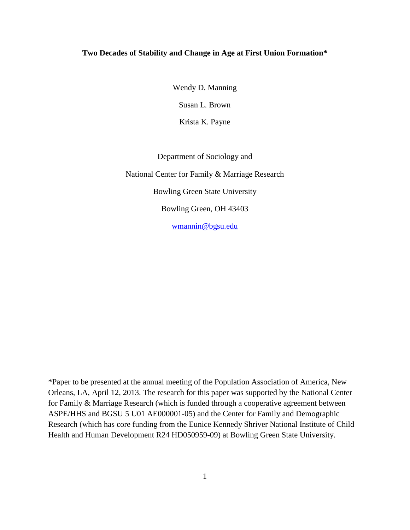## **Two Decades of Stability and Change in Age at First Union Formation\***

Wendy D. Manning Susan L. Brown Krista K. Payne

Department of Sociology and

National Center for Family & Marriage Research Bowling Green State University Bowling Green, OH 43403

[wmannin@bgsu.edu](mailto:wmannin@bgsu.edu)

\*Paper to be presented at the annual meeting of the Population Association of America, New Orleans, LA, April 12, 2013. The research for this paper was supported by the National Center for Family & Marriage Research (which is funded through a cooperative agreement between ASPE/HHS and BGSU 5 U01 AE000001-05) and the Center for Family and Demographic Research (which has core funding from the Eunice Kennedy Shriver National Institute of Child Health and Human Development R24 HD050959-09) at Bowling Green State University.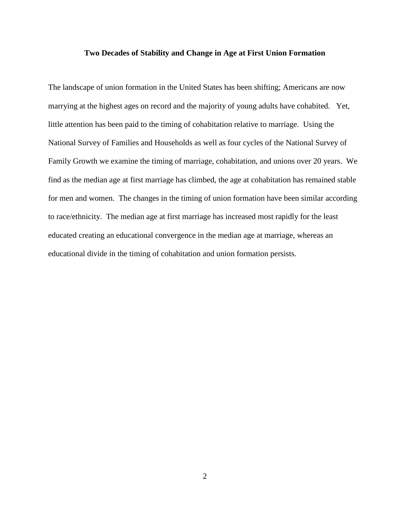### **Two Decades of Stability and Change in Age at First Union Formation**

The landscape of union formation in the United States has been shifting; Americans are now marrying at the highest ages on record and the majority of young adults have cohabited. Yet, little attention has been paid to the timing of cohabitation relative to marriage. Using the National Survey of Families and Households as well as four cycles of the National Survey of Family Growth we examine the timing of marriage, cohabitation, and unions over 20 years. We find as the median age at first marriage has climbed, the age at cohabitation has remained stable for men and women. The changes in the timing of union formation have been similar according to race/ethnicity. The median age at first marriage has increased most rapidly for the least educated creating an educational convergence in the median age at marriage, whereas an educational divide in the timing of cohabitation and union formation persists.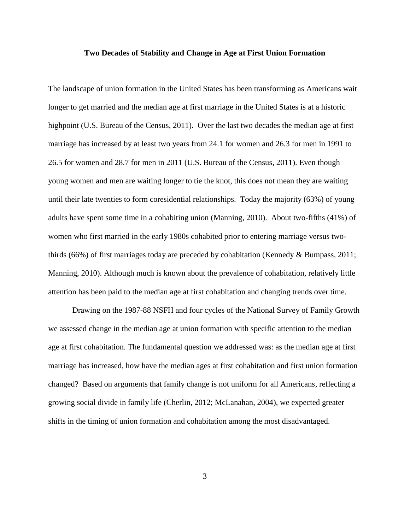## **Two Decades of Stability and Change in Age at First Union Formation**

The landscape of union formation in the United States has been transforming as Americans wait longer to get married and the median age at first marriage in the United States is at a historic highpoint (U.S. Bureau of the Census, 2011). Over the last two decades the median age at first marriage has increased by at least two years from 24.1 for women and 26.3 for men in 1991 to 26.5 for women and 28.7 for men in 2011 (U.S. Bureau of the Census, 2011). Even though young women and men are waiting longer to tie the knot, this does not mean they are waiting until their late twenties to form coresidential relationships. Today the majority (63%) of young adults have spent some time in a cohabiting union (Manning, 2010). About two-fifths (41%) of women who first married in the early 1980s cohabited prior to entering marriage versus twothirds (66%) of first marriages today are preceded by cohabitation (Kennedy & Bumpass, 2011; Manning, 2010). Although much is known about the prevalence of cohabitation, relatively little attention has been paid to the median age at first cohabitation and changing trends over time.

Drawing on the 1987-88 NSFH and four cycles of the National Survey of Family Growth we assessed change in the median age at union formation with specific attention to the median age at first cohabitation. The fundamental question we addressed was: as the median age at first marriage has increased, how have the median ages at first cohabitation and first union formation changed? Based on arguments that family change is not uniform for all Americans, reflecting a growing social divide in family life (Cherlin, 2012; McLanahan, 2004), we expected greater shifts in the timing of union formation and cohabitation among the most disadvantaged.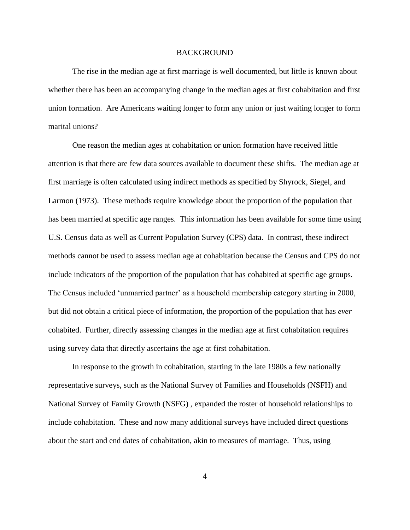#### **BACKGROUND**

The rise in the median age at first marriage is well documented, but little is known about whether there has been an accompanying change in the median ages at first cohabitation and first union formation. Are Americans waiting longer to form any union or just waiting longer to form marital unions?

One reason the median ages at cohabitation or union formation have received little attention is that there are few data sources available to document these shifts. The median age at first marriage is often calculated using indirect methods as specified by Shyrock, Siegel, and Larmon (1973). These methods require knowledge about the proportion of the population that has been married at specific age ranges. This information has been available for some time using U.S. Census data as well as Current Population Survey (CPS) data. In contrast, these indirect methods cannot be used to assess median age at cohabitation because the Census and CPS do not include indicators of the proportion of the population that has cohabited at specific age groups. The Census included 'unmarried partner' as a household membership category starting in 2000, but did not obtain a critical piece of information, the proportion of the population that has *ever* cohabited. Further, directly assessing changes in the median age at first cohabitation requires using survey data that directly ascertains the age at first cohabitation.

In response to the growth in cohabitation, starting in the late 1980s a few nationally representative surveys, such as the National Survey of Families and Households (NSFH) and National Survey of Family Growth (NSFG) , expanded the roster of household relationships to include cohabitation. These and now many additional surveys have included direct questions about the start and end dates of cohabitation, akin to measures of marriage. Thus, using

4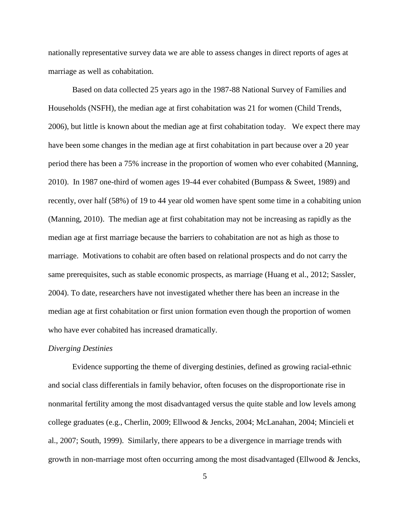nationally representative survey data we are able to assess changes in direct reports of ages at marriage as well as cohabitation.

Based on data collected 25 years ago in the 1987-88 National Survey of Families and Households (NSFH), the median age at first cohabitation was 21 for women (Child Trends, 2006), but little is known about the median age at first cohabitation today. We expect there may have been some changes in the median age at first cohabitation in part because over a 20 year period there has been a 75% increase in the proportion of women who ever cohabited (Manning, 2010). In 1987 one-third of women ages 19-44 ever cohabited (Bumpass & Sweet, 1989) and recently, over half (58%) of 19 to 44 year old women have spent some time in a cohabiting union (Manning, 2010). The median age at first cohabitation may not be increasing as rapidly as the median age at first marriage because the barriers to cohabitation are not as high as those to marriage. Motivations to cohabit are often based on relational prospects and do not carry the same prerequisites, such as stable economic prospects, as marriage (Huang et al., 2012; Sassler, 2004). To date, researchers have not investigated whether there has been an increase in the median age at first cohabitation or first union formation even though the proportion of women who have ever cohabited has increased dramatically.

#### *Diverging Destinies*

Evidence supporting the theme of diverging destinies, defined as growing racial-ethnic and social class differentials in family behavior, often focuses on the disproportionate rise in nonmarital fertility among the most disadvantaged versus the quite stable and low levels among college graduates (e.g., Cherlin, 2009; Ellwood & Jencks, 2004; McLanahan, 2004; Mincieli et al., 2007; South, 1999). Similarly, there appears to be a divergence in marriage trends with growth in non-marriage most often occurring among the most disadvantaged (Ellwood  $\&$  Jencks,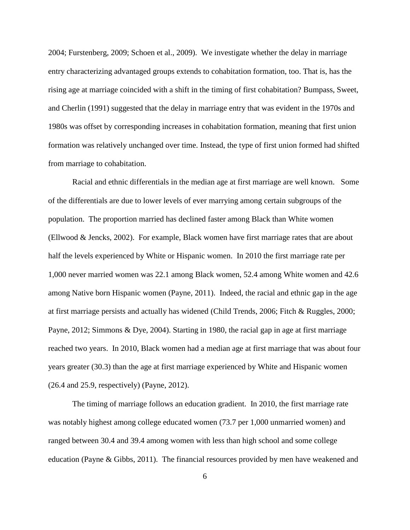2004; Furstenberg, 2009; Schoen et al., 2009). We investigate whether the delay in marriage entry characterizing advantaged groups extends to cohabitation formation, too. That is, has the rising age at marriage coincided with a shift in the timing of first cohabitation? Bumpass, Sweet, and Cherlin (1991) suggested that the delay in marriage entry that was evident in the 1970s and 1980s was offset by corresponding increases in cohabitation formation, meaning that first union formation was relatively unchanged over time. Instead, the type of first union formed had shifted from marriage to cohabitation.

Racial and ethnic differentials in the median age at first marriage are well known. Some of the differentials are due to lower levels of ever marrying among certain subgroups of the population. The proportion married has declined faster among Black than White women (Ellwood & Jencks, 2002). For example, Black women have first marriage rates that are about half the levels experienced by White or Hispanic women. In 2010 the first marriage rate per 1,000 never married women was 22.1 among Black women, 52.4 among White women and 42.6 among Native born Hispanic women (Payne, 2011). Indeed, the racial and ethnic gap in the age at first marriage persists and actually has widened (Child Trends, 2006; Fitch & Ruggles, 2000; Payne, 2012; Simmons & Dye, 2004). Starting in 1980, the racial gap in age at first marriage reached two years. In 2010, Black women had a median age at first marriage that was about four years greater (30.3) than the age at first marriage experienced by White and Hispanic women (26.4 and 25.9, respectively) (Payne, 2012).

The timing of marriage follows an education gradient. In 2010, the first marriage rate was notably highest among college educated women (73.7 per 1,000 unmarried women) and ranged between 30.4 and 39.4 among women with less than high school and some college education (Payne & Gibbs, 2011). The financial resources provided by men have weakened and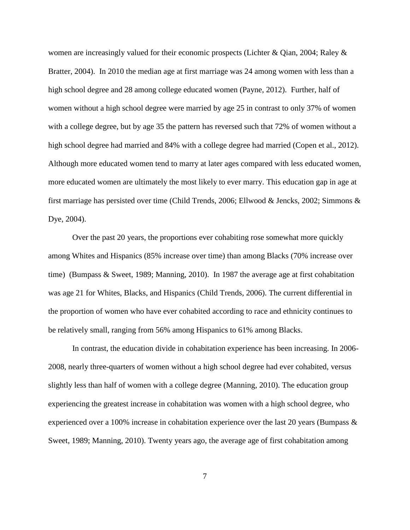women are increasingly valued for their economic prospects (Lichter & Qian, 2004; Raley & Bratter, 2004). In 2010 the median age at first marriage was 24 among women with less than a high school degree and 28 among college educated women (Payne, 2012). Further, half of women without a high school degree were married by age 25 in contrast to only 37% of women with a college degree, but by age 35 the pattern has reversed such that 72% of women without a high school degree had married and 84% with a college degree had married (Copen et al., 2012). Although more educated women tend to marry at later ages compared with less educated women, more educated women are ultimately the most likely to ever marry. This education gap in age at first marriage has persisted over time (Child Trends, 2006; Ellwood & Jencks, 2002; Simmons & Dye, 2004).

Over the past 20 years, the proportions ever cohabiting rose somewhat more quickly among Whites and Hispanics (85% increase over time) than among Blacks (70% increase over time) (Bumpass & Sweet, 1989; Manning, 2010). In 1987 the average age at first cohabitation was age 21 for Whites, Blacks, and Hispanics (Child Trends, 2006). The current differential in the proportion of women who have ever cohabited according to race and ethnicity continues to be relatively small, ranging from 56% among Hispanics to 61% among Blacks.

In contrast, the education divide in cohabitation experience has been increasing. In 2006- 2008, nearly three-quarters of women without a high school degree had ever cohabited, versus slightly less than half of women with a college degree (Manning, 2010). The education group experiencing the greatest increase in cohabitation was women with a high school degree, who experienced over a 100% increase in cohabitation experience over the last 20 years (Bumpass & Sweet, 1989; Manning, 2010). Twenty years ago, the average age of first cohabitation among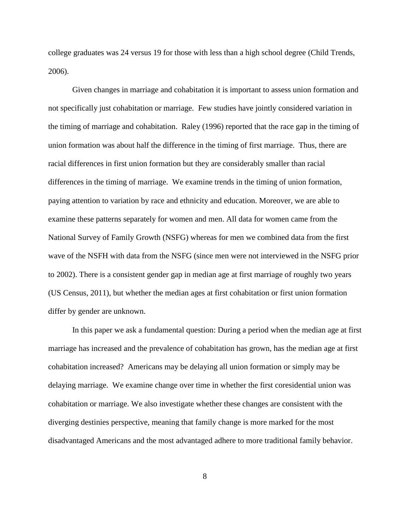college graduates was 24 versus 19 for those with less than a high school degree (Child Trends, 2006).

Given changes in marriage and cohabitation it is important to assess union formation and not specifically just cohabitation or marriage. Few studies have jointly considered variation in the timing of marriage and cohabitation. Raley (1996) reported that the race gap in the timing of union formation was about half the difference in the timing of first marriage. Thus, there are racial differences in first union formation but they are considerably smaller than racial differences in the timing of marriage. We examine trends in the timing of union formation, paying attention to variation by race and ethnicity and education. Moreover, we are able to examine these patterns separately for women and men. All data for women came from the National Survey of Family Growth (NSFG) whereas for men we combined data from the first wave of the NSFH with data from the NSFG (since men were not interviewed in the NSFG prior to 2002). There is a consistent gender gap in median age at first marriage of roughly two years (US Census, 2011), but whether the median ages at first cohabitation or first union formation differ by gender are unknown.

In this paper we ask a fundamental question: During a period when the median age at first marriage has increased and the prevalence of cohabitation has grown, has the median age at first cohabitation increased? Americans may be delaying all union formation or simply may be delaying marriage. We examine change over time in whether the first coresidential union was cohabitation or marriage. We also investigate whether these changes are consistent with the diverging destinies perspective, meaning that family change is more marked for the most disadvantaged Americans and the most advantaged adhere to more traditional family behavior.

8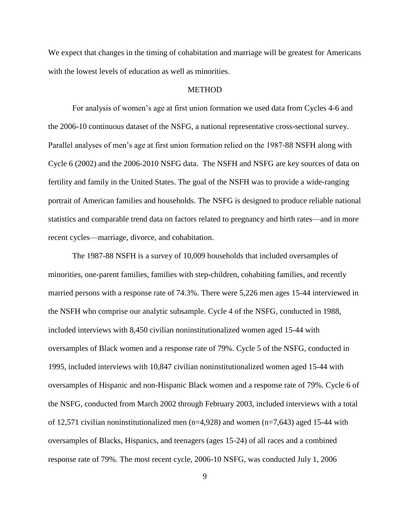We expect that changes in the timing of cohabitation and marriage will be greatest for Americans with the lowest levels of education as well as minorities.

### **METHOD**

For analysis of women's age at first union formation we used data from Cycles 4-6 and the 2006-10 continuous dataset of the NSFG, a national representative cross-sectional survey. Parallel analyses of men's age at first union formation relied on the 1987-88 NSFH along with Cycle 6 (2002) and the 2006-2010 NSFG data. The NSFH and NSFG are key sources of data on fertility and family in the United States. The goal of the NSFH was to provide a wide-ranging portrait of American families and households. The NSFG is designed to produce reliable national statistics and comparable trend data on factors related to pregnancy and birth rates—and in more recent cycles—marriage, divorce, and cohabitation.

The 1987-88 NSFH is a survey of 10,009 households that included oversamples of minorities, one-parent families, families with step-children, cohabiting families, and recently married persons with a response rate of 74.3%. There were 5,226 men ages 15-44 interviewed in the NSFH who comprise our analytic subsample. Cycle 4 of the NSFG, conducted in 1988, included interviews with 8,450 civilian noninstitutionalized women aged 15-44 with oversamples of Black women and a response rate of 79%. Cycle 5 of the NSFG, conducted in 1995, included interviews with 10,847 civilian noninstitutionalized women aged 15-44 with oversamples of Hispanic and non-Hispanic Black women and a response rate of 79%. Cycle 6 of the NSFG, conducted from March 2002 through February 2003, included interviews with a total of 12,571 civilian noninstitutionalized men  $(n=4,928)$  and women  $(n=7,643)$  aged 15-44 with oversamples of Blacks, Hispanics, and teenagers (ages 15-24) of all races and a combined response rate of 79%. The most recent cycle, 2006-10 NSFG, was conducted July 1, 2006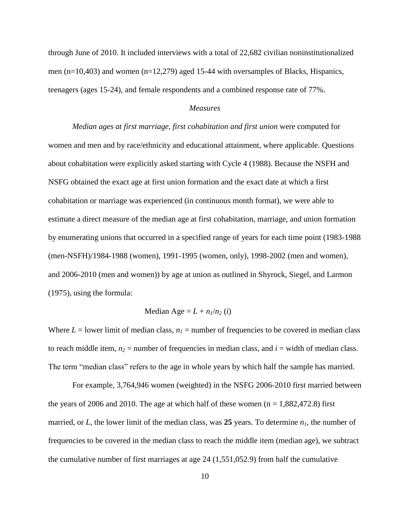through June of 2010. It included interviews with a total of 22,682 civilian noninstitutionalized men (n=10,403) and women (n=12,279) aged 15-44 with oversamples of Blacks, Hispanics, teenagers (ages 15-24), and female respondents and a combined response rate of 77%.

## *Measures*

*Median ages at first marriage, first cohabitation and first union* were computed for women and men and by race/ethnicity and educational attainment, where applicable. Questions about cohabitation were explicitly asked starting with Cycle 4 (1988). Because the NSFH and NSFG obtained the exact age at first union formation and the exact date at which a first cohabitation or marriage was experienced (in continuous month format), we were able to estimate a direct measure of the median age at first cohabitation, marriage, and union formation by enumerating unions that occurred in a specified range of years for each time point (1983-1988 (men-NSFH)/1984-1988 (women), 1991-1995 (women, only), 1998-2002 (men and women), and 2006-2010 (men and women)) by age at union as outlined in Shyrock, Siegel, and Larmon (1975), using the formula:

Median Age = 
$$
L + n_1/n_2(i)
$$

Where  $L =$  lower limit of median class,  $n_l =$  number of frequencies to be covered in median class to reach middle item,  $n_2$  = number of frequencies in median class, and  $i$  = width of median class. The term "median class" refers to the age in whole years by which half the sample has married.

For example, 3,764,946 women (weighted) in the NSFG 2006-2010 first married between the years of 2006 and 2010. The age at which half of these women  $(n = 1,882,472.8)$  first married, or *L*, the lower limit of the median class, was **25** years. To determine *n1*, the number of frequencies to be covered in the median class to reach the middle item (median age), we subtract the cumulative number of first marriages at age 24 (1,551,052.9) from half the cumulative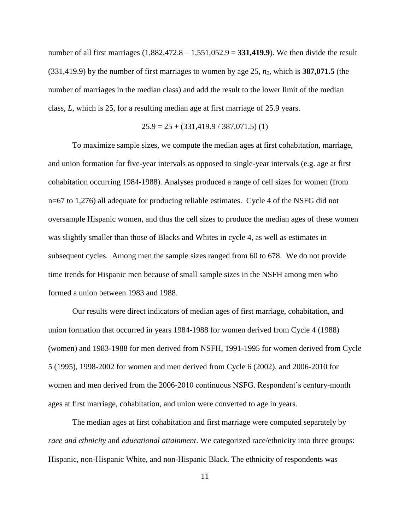number of all first marriages (1,882,472.8 – 1,551,052.9 = **331,419.9**). We then divide the result (331,419.9) by the number of first marriages to women by age 25, *n2*, which is **387,071.5** (the number of marriages in the median class) and add the result to the lower limit of the median class, *L*, which is 25, for a resulting median age at first marriage of 25.9 years.

$$
25.9 = 25 + (331,419.9 / 387,071.5) (1)
$$

To maximize sample sizes, we compute the median ages at first cohabitation, marriage, and union formation for five-year intervals as opposed to single-year intervals (e.g. age at first cohabitation occurring 1984-1988). Analyses produced a range of cell sizes for women (from n=67 to 1,276) all adequate for producing reliable estimates. Cycle 4 of the NSFG did not oversample Hispanic women, and thus the cell sizes to produce the median ages of these women was slightly smaller than those of Blacks and Whites in cycle 4, as well as estimates in subsequent cycles. Among men the sample sizes ranged from 60 to 678. We do not provide time trends for Hispanic men because of small sample sizes in the NSFH among men who formed a union between 1983 and 1988.

Our results were direct indicators of median ages of first marriage, cohabitation, and union formation that occurred in years 1984-1988 for women derived from Cycle 4 (1988) (women) and 1983-1988 for men derived from NSFH, 1991-1995 for women derived from Cycle 5 (1995), 1998-2002 for women and men derived from Cycle 6 (2002), and 2006-2010 for women and men derived from the 2006-2010 continuous NSFG. Respondent's century-month ages at first marriage, cohabitation, and union were converted to age in years.

The median ages at first cohabitation and first marriage were computed separately by *race and ethnicity* and *educational attainment*. We categorized race/ethnicity into three groups: Hispanic, non-Hispanic White, and non-Hispanic Black. The ethnicity of respondents was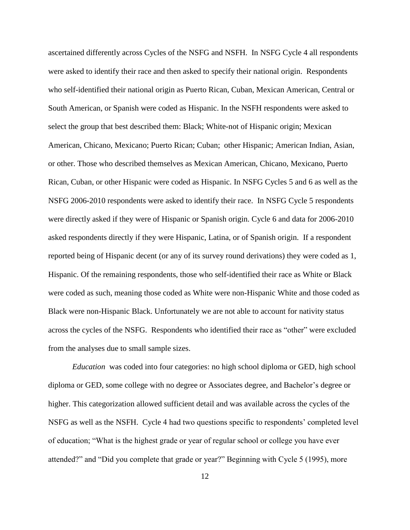ascertained differently across Cycles of the NSFG and NSFH. In NSFG Cycle 4 all respondents were asked to identify their race and then asked to specify their national origin. Respondents who self-identified their national origin as Puerto Rican, Cuban, Mexican American, Central or South American, or Spanish were coded as Hispanic. In the NSFH respondents were asked to select the group that best described them: Black; White-not of Hispanic origin; Mexican American, Chicano, Mexicano; Puerto Rican; Cuban; other Hispanic; American Indian, Asian, or other. Those who described themselves as Mexican American, Chicano, Mexicano, Puerto Rican, Cuban, or other Hispanic were coded as Hispanic. In NSFG Cycles 5 and 6 as well as the NSFG 2006-2010 respondents were asked to identify their race. In NSFG Cycle 5 respondents were directly asked if they were of Hispanic or Spanish origin. Cycle 6 and data for 2006-2010 asked respondents directly if they were Hispanic, Latina, or of Spanish origin. If a respondent reported being of Hispanic decent (or any of its survey round derivations) they were coded as 1, Hispanic. Of the remaining respondents, those who self-identified their race as White or Black were coded as such, meaning those coded as White were non-Hispanic White and those coded as Black were non-Hispanic Black. Unfortunately we are not able to account for nativity status across the cycles of the NSFG. Respondents who identified their race as "other" were excluded from the analyses due to small sample sizes.

*Education* was coded into four categories: no high school diploma or GED, high school diploma or GED, some college with no degree or Associates degree, and Bachelor's degree or higher. This categorization allowed sufficient detail and was available across the cycles of the NSFG as well as the NSFH. Cycle 4 had two questions specific to respondents' completed level of education; "What is the highest grade or year of regular school or college you have ever attended?" and "Did you complete that grade or year?" Beginning with Cycle 5 (1995), more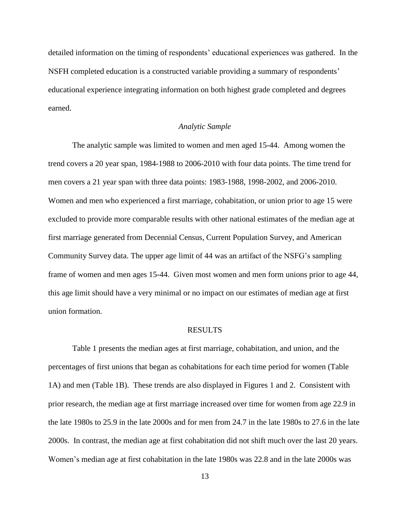detailed information on the timing of respondents' educational experiences was gathered. In the NSFH completed education is a constructed variable providing a summary of respondents' educational experience integrating information on both highest grade completed and degrees earned.

## *Analytic Sample*

The analytic sample was limited to women and men aged 15-44. Among women the trend covers a 20 year span, 1984-1988 to 2006-2010 with four data points. The time trend for men covers a 21 year span with three data points: 1983-1988, 1998-2002, and 2006-2010. Women and men who experienced a first marriage, cohabitation, or union prior to age 15 were excluded to provide more comparable results with other national estimates of the median age at first marriage generated from Decennial Census, Current Population Survey, and American Community Survey data. The upper age limit of 44 was an artifact of the NSFG's sampling frame of women and men ages 15-44. Given most women and men form unions prior to age 44, this age limit should have a very minimal or no impact on our estimates of median age at first union formation.

## RESULTS

Table 1 presents the median ages at first marriage, cohabitation, and union, and the percentages of first unions that began as cohabitations for each time period for women (Table 1A) and men (Table 1B). These trends are also displayed in Figures 1 and 2. Consistent with prior research, the median age at first marriage increased over time for women from age 22.9 in the late 1980s to 25.9 in the late 2000s and for men from 24.7 in the late 1980s to 27.6 in the late 2000s. In contrast, the median age at first cohabitation did not shift much over the last 20 years. Women's median age at first cohabitation in the late 1980s was 22.8 and in the late 2000s was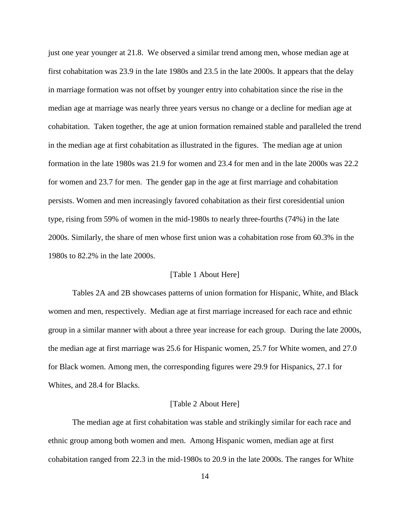just one year younger at 21.8. We observed a similar trend among men, whose median age at first cohabitation was 23.9 in the late 1980s and 23.5 in the late 2000s. It appears that the delay in marriage formation was not offset by younger entry into cohabitation since the rise in the median age at marriage was nearly three years versus no change or a decline for median age at cohabitation. Taken together, the age at union formation remained stable and paralleled the trend in the median age at first cohabitation as illustrated in the figures. The median age at union formation in the late 1980s was 21.9 for women and 23.4 for men and in the late 2000s was 22.2 for women and 23.7 for men. The gender gap in the age at first marriage and cohabitation persists. Women and men increasingly favored cohabitation as their first coresidential union type, rising from 59% of women in the mid-1980s to nearly three-fourths (74%) in the late 2000s. Similarly, the share of men whose first union was a cohabitation rose from 60.3% in the 1980s to 82.2% in the late 2000s.

## [Table 1 About Here]

Tables 2A and 2B showcases patterns of union formation for Hispanic, White, and Black women and men, respectively. Median age at first marriage increased for each race and ethnic group in a similar manner with about a three year increase for each group. During the late 2000s, the median age at first marriage was 25.6 for Hispanic women, 25.7 for White women, and 27.0 for Black women. Among men, the corresponding figures were 29.9 for Hispanics, 27.1 for Whites, and 28.4 for Blacks.

#### [Table 2 About Here]

The median age at first cohabitation was stable and strikingly similar for each race and ethnic group among both women and men. Among Hispanic women, median age at first cohabitation ranged from 22.3 in the mid-1980s to 20.9 in the late 2000s. The ranges for White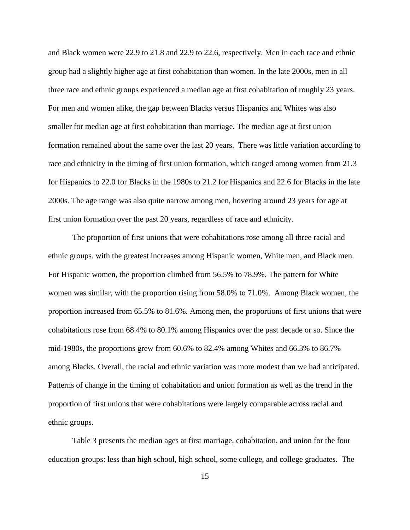and Black women were 22.9 to 21.8 and 22.9 to 22.6, respectively. Men in each race and ethnic group had a slightly higher age at first cohabitation than women. In the late 2000s, men in all three race and ethnic groups experienced a median age at first cohabitation of roughly 23 years. For men and women alike, the gap between Blacks versus Hispanics and Whites was also smaller for median age at first cohabitation than marriage. The median age at first union formation remained about the same over the last 20 years. There was little variation according to race and ethnicity in the timing of first union formation, which ranged among women from 21.3 for Hispanics to 22.0 for Blacks in the 1980s to 21.2 for Hispanics and 22.6 for Blacks in the late 2000s. The age range was also quite narrow among men, hovering around 23 years for age at first union formation over the past 20 years, regardless of race and ethnicity.

The proportion of first unions that were cohabitations rose among all three racial and ethnic groups, with the greatest increases among Hispanic women, White men, and Black men. For Hispanic women, the proportion climbed from 56.5% to 78.9%. The pattern for White women was similar, with the proportion rising from 58.0% to 71.0%. Among Black women, the proportion increased from 65.5% to 81.6%. Among men, the proportions of first unions that were cohabitations rose from 68.4% to 80.1% among Hispanics over the past decade or so. Since the mid-1980s, the proportions grew from 60.6% to 82.4% among Whites and 66.3% to 86.7% among Blacks. Overall, the racial and ethnic variation was more modest than we had anticipated. Patterns of change in the timing of cohabitation and union formation as well as the trend in the proportion of first unions that were cohabitations were largely comparable across racial and ethnic groups.

Table 3 presents the median ages at first marriage, cohabitation, and union for the four education groups: less than high school, high school, some college, and college graduates. The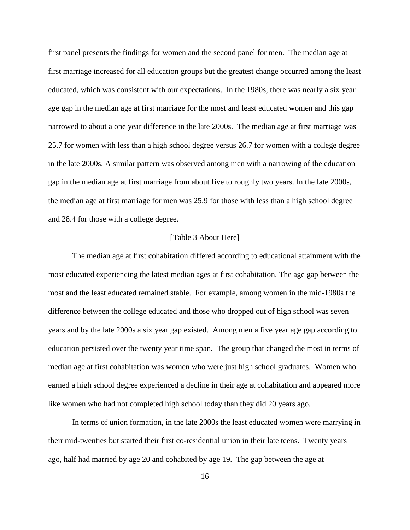first panel presents the findings for women and the second panel for men. The median age at first marriage increased for all education groups but the greatest change occurred among the least educated, which was consistent with our expectations. In the 1980s, there was nearly a six year age gap in the median age at first marriage for the most and least educated women and this gap narrowed to about a one year difference in the late 2000s. The median age at first marriage was 25.7 for women with less than a high school degree versus 26.7 for women with a college degree in the late 2000s. A similar pattern was observed among men with a narrowing of the education gap in the median age at first marriage from about five to roughly two years. In the late 2000s, the median age at first marriage for men was 25.9 for those with less than a high school degree and 28.4 for those with a college degree.

### [Table 3 About Here]

The median age at first cohabitation differed according to educational attainment with the most educated experiencing the latest median ages at first cohabitation. The age gap between the most and the least educated remained stable. For example, among women in the mid-1980s the difference between the college educated and those who dropped out of high school was seven years and by the late 2000s a six year gap existed. Among men a five year age gap according to education persisted over the twenty year time span. The group that changed the most in terms of median age at first cohabitation was women who were just high school graduates. Women who earned a high school degree experienced a decline in their age at cohabitation and appeared more like women who had not completed high school today than they did 20 years ago.

In terms of union formation, in the late 2000s the least educated women were marrying in their mid-twenties but started their first co-residential union in their late teens. Twenty years ago, half had married by age 20 and cohabited by age 19. The gap between the age at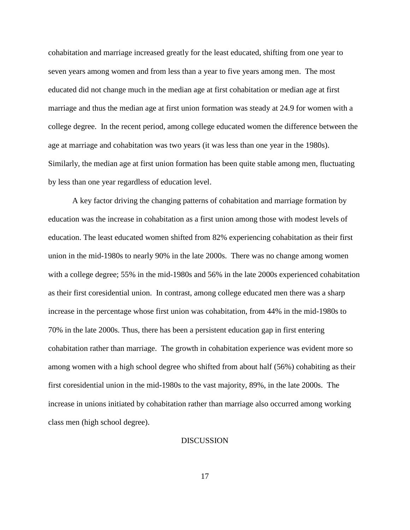cohabitation and marriage increased greatly for the least educated, shifting from one year to seven years among women and from less than a year to five years among men. The most educated did not change much in the median age at first cohabitation or median age at first marriage and thus the median age at first union formation was steady at 24.9 for women with a college degree. In the recent period, among college educated women the difference between the age at marriage and cohabitation was two years (it was less than one year in the 1980s). Similarly, the median age at first union formation has been quite stable among men, fluctuating by less than one year regardless of education level.

A key factor driving the changing patterns of cohabitation and marriage formation by education was the increase in cohabitation as a first union among those with modest levels of education. The least educated women shifted from 82% experiencing cohabitation as their first union in the mid-1980s to nearly 90% in the late 2000s. There was no change among women with a college degree; 55% in the mid-1980s and 56% in the late 2000s experienced cohabitation as their first coresidential union. In contrast, among college educated men there was a sharp increase in the percentage whose first union was cohabitation, from 44% in the mid-1980s to 70% in the late 2000s. Thus, there has been a persistent education gap in first entering cohabitation rather than marriage. The growth in cohabitation experience was evident more so among women with a high school degree who shifted from about half (56%) cohabiting as their first coresidential union in the mid-1980s to the vast majority, 89%, in the late 2000s. The increase in unions initiated by cohabitation rather than marriage also occurred among working class men (high school degree).

## DISCUSSION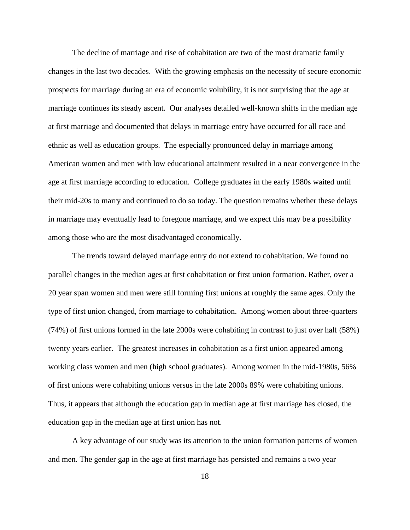The decline of marriage and rise of cohabitation are two of the most dramatic family changes in the last two decades. With the growing emphasis on the necessity of secure economic prospects for marriage during an era of economic volubility, it is not surprising that the age at marriage continues its steady ascent. Our analyses detailed well-known shifts in the median age at first marriage and documented that delays in marriage entry have occurred for all race and ethnic as well as education groups. The especially pronounced delay in marriage among American women and men with low educational attainment resulted in a near convergence in the age at first marriage according to education. College graduates in the early 1980s waited until their mid-20s to marry and continued to do so today. The question remains whether these delays in marriage may eventually lead to foregone marriage, and we expect this may be a possibility among those who are the most disadvantaged economically.

The trends toward delayed marriage entry do not extend to cohabitation. We found no parallel changes in the median ages at first cohabitation or first union formation. Rather, over a 20 year span women and men were still forming first unions at roughly the same ages. Only the type of first union changed, from marriage to cohabitation. Among women about three-quarters (74%) of first unions formed in the late 2000s were cohabiting in contrast to just over half (58%) twenty years earlier. The greatest increases in cohabitation as a first union appeared among working class women and men (high school graduates). Among women in the mid-1980s, 56% of first unions were cohabiting unions versus in the late 2000s 89% were cohabiting unions. Thus, it appears that although the education gap in median age at first marriage has closed, the education gap in the median age at first union has not.

A key advantage of our study was its attention to the union formation patterns of women and men. The gender gap in the age at first marriage has persisted and remains a two year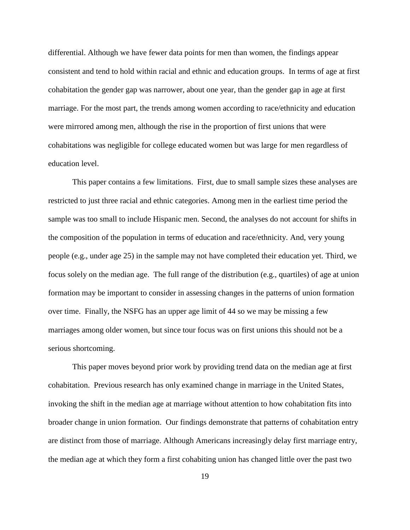differential. Although we have fewer data points for men than women, the findings appear consistent and tend to hold within racial and ethnic and education groups. In terms of age at first cohabitation the gender gap was narrower, about one year, than the gender gap in age at first marriage. For the most part, the trends among women according to race/ethnicity and education were mirrored among men, although the rise in the proportion of first unions that were cohabitations was negligible for college educated women but was large for men regardless of education level.

This paper contains a few limitations. First, due to small sample sizes these analyses are restricted to just three racial and ethnic categories. Among men in the earliest time period the sample was too small to include Hispanic men. Second, the analyses do not account for shifts in the composition of the population in terms of education and race/ethnicity. And, very young people (e.g., under age 25) in the sample may not have completed their education yet. Third, we focus solely on the median age. The full range of the distribution (e.g., quartiles) of age at union formation may be important to consider in assessing changes in the patterns of union formation over time. Finally, the NSFG has an upper age limit of 44 so we may be missing a few marriages among older women, but since tour focus was on first unions this should not be a serious shortcoming.

This paper moves beyond prior work by providing trend data on the median age at first cohabitation. Previous research has only examined change in marriage in the United States, invoking the shift in the median age at marriage without attention to how cohabitation fits into broader change in union formation. Our findings demonstrate that patterns of cohabitation entry are distinct from those of marriage. Although Americans increasingly delay first marriage entry, the median age at which they form a first cohabiting union has changed little over the past two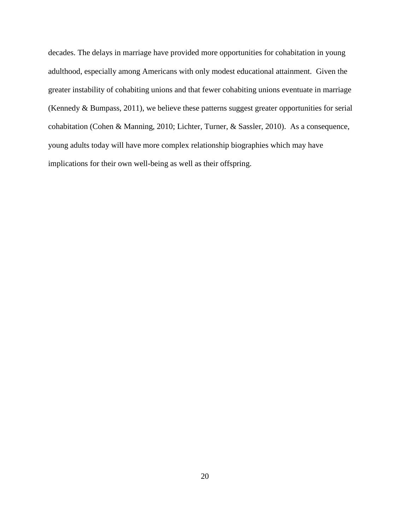decades. The delays in marriage have provided more opportunities for cohabitation in young adulthood, especially among Americans with only modest educational attainment. Given the greater instability of cohabiting unions and that fewer cohabiting unions eventuate in marriage (Kennedy & Bumpass, 2011), we believe these patterns suggest greater opportunities for serial cohabitation (Cohen & Manning, 2010; Lichter, Turner, & Sassler, 2010). As a consequence, young adults today will have more complex relationship biographies which may have implications for their own well-being as well as their offspring.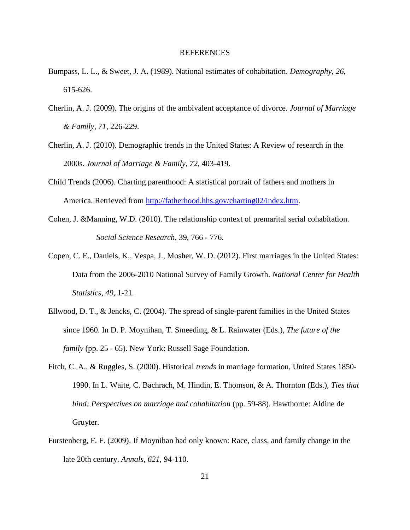## REFERENCES

- Bumpass, L. L., & Sweet, J. A. (1989). National estimates of cohabitation. *Demography*, *26*, 615-626.
- Cherlin, A. J. (2009). The origins of the ambivalent acceptance of divorce. *Journal of Marriage & Family*, *71*, 226-229.
- Cherlin, A. J. (2010). Demographic trends in the United States: A Review of research in the 2000s. *Journal of Marriage & Family*, *72*, 403-419.
- Child Trends (2006). Charting parenthood: A statistical portrait of fathers and mothers in America. Retrieved from [http://fatherhood.hhs.gov/charting02/index.htm.](http://fatherhood.hhs.gov/charting02/index.htm)
- Cohen, J. &Manning, W.D. (2010). The relationship context of premarital serial cohabitation. *Social Science Research,* 39, 766 - 776.
- Copen, C. E., Daniels, K., Vespa, J., Mosher, W. D. (2012). First marriages in the United States: Data from the 2006-2010 National Survey of Family Growth. *National Center for Health Statistics, 49,* 1-21*.*
- Ellwood, D. T., & Jencks, C. (2004). The spread of single-parent families in the United States since 1960. In D. P. Moynihan, T. Smeeding, & L. Rainwater (Eds.), *The future of the family* (pp. 25 - 65). New York: Russell Sage Foundation.
- Fitch, C. A., & Ruggles, S. (2000). Historical *trends* in marriage formation, United States 1850- 1990. In L. Waite, C. Bachrach, M. Hindin, E. Thomson, & A. Thornton (Eds.), *Ties that bind: Perspectives on marriage and cohabitation* (pp. 59-88). Hawthorne: Aldine de Gruyter.
- Furstenberg, F. F. (2009). If Moynihan had only known: Race, class, and family change in the late 20th century. *Annals, 621*, 94-110.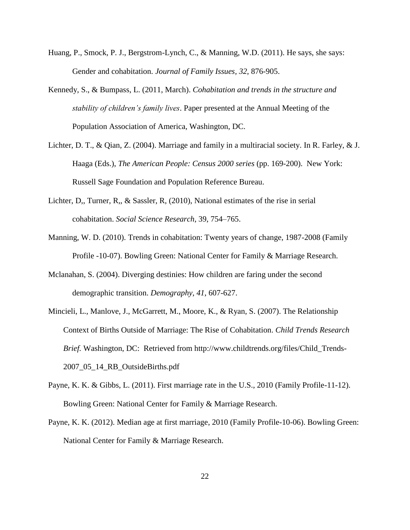- Huang, P., Smock, P. J., Bergstrom-Lynch, C., & Manning, W.D. (2011). He says, she says: Gender and cohabitation. *Journal of Family Issues, 32*, 876-905.
- Kennedy, S., & Bumpass, L. (2011, March). *Cohabitation and trends in the structure and stability of children's family lives*. Paper presented at the Annual Meeting of the Population Association of America, Washington, DC.
- Lichter, D. T., & Qian, Z. (2004). Marriage and family in a multiracial society. In R. Farley, & J. Haaga (Eds.), *The American People: Census 2000 series* (pp. 169-200). New York: Russell Sage Foundation and Population Reference Bureau.
- Lichter, D,, Turner, R,, & Sassler, R, (2010), National estimates of the rise in serial cohabitation. *Social Science Research*, 39, 754–765.
- Manning, W. D. (2010). Trends in cohabitation: Twenty years of change, 1987-2008 (Family Profile -10-07). Bowling Green: National Center for Family & Marriage Research.
- Mclanahan, S. (2004). Diverging destinies: How children are faring under the second demographic transition. *Demography*, *41*, 607-627.
- Mincieli, L., Manlove, J., McGarrett, M., Moore, K., & Ryan, S. (2007). The Relationship Context of Births Outside of Marriage: The Rise of Cohabitation. *Child Trends Research Brief.* Washington, DC: Retrieved from http://www.childtrends.org/files/Child\_Trends-2007\_05\_14\_RB\_OutsideBirths.pdf
- Payne, K. K. & Gibbs, L. (2011). First marriage rate in the U.S., 2010 (Family Profile-11-12). Bowling Green: National Center for Family & Marriage Research.
- Payne, K. K. (2012). Median age at first marriage, 2010 (Family Profile-10-06). Bowling Green: National Center for Family & Marriage Research.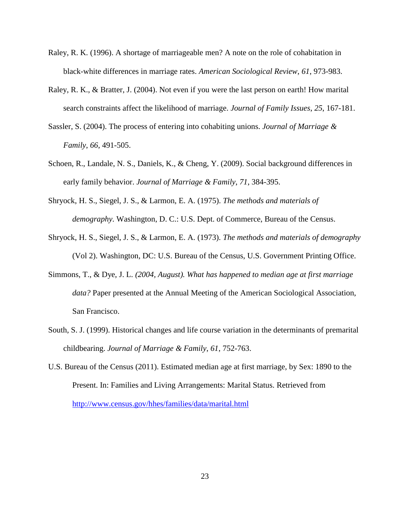- Raley, R. K. (1996). A shortage of marriageable men? A note on the role of cohabitation in black-white differences in marriage rates. *American Sociological Review*, *61*, 973-983.
- Raley, R. K., & Bratter, J. (2004). Not even if you were the last person on earth! How marital search constraints affect the likelihood of marriage. *Journal of Family Issues*, *25*, 167-181.
- Sassler, S. (2004). The process of entering into cohabiting unions. *Journal of Marriage & Family*, *66*, 491-505.
- Schoen, R., Landale, N. S., Daniels, K., & Cheng, Y. (2009). Social background differences in early family behavior. *Journal of Marriage & Family*, *71*, 384-395.
- Shryock, H. S., Siegel, J. S., & Larmon, E. A. (1975). *The methods and materials of demography*. Washington, D. C.: U.S. Dept. of Commerce, Bureau of the Census.
- Shryock, H. S., Siegel, J. S., & Larmon, E. A. (1973). *The methods and materials of demography* (Vol 2). Washington, DC: U.S. Bureau of the Census, U.S. Government Printing Office.
- Simmons, T., & Dye, J. L. *(2004, August). What has happened to median age at first marriage data?* Paper presented at the Annual Meeting of the American Sociological Association, San Francisco.
- South, S. J. (1999). Historical changes and life course variation in the determinants of premarital childbearing. *Journal of Marriage & Family*, *61*, 752-763.
- U.S. Bureau of the Census (2011). Estimated median age at first marriage, by Sex: 1890 to the Present. In: Families and Living Arrangements: Marital Status. Retrieved from <http://www.census.gov/hhes/families/data/marital.html>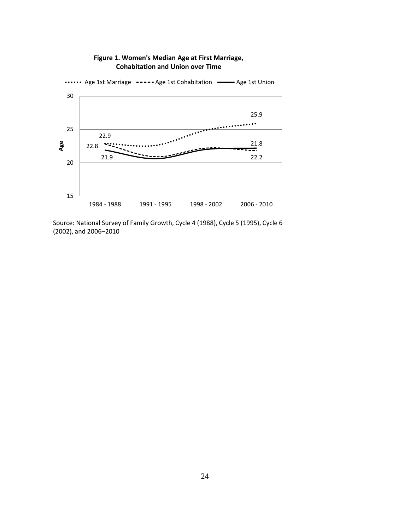

# **Figure 1. Women's Median Age at First Marriage, Cohabitation and Union over Time**

Source: National Survey of Family Growth, Cycle 4 (1988), Cycle 5 (1995), Cycle 6 (2002), and 2006–2010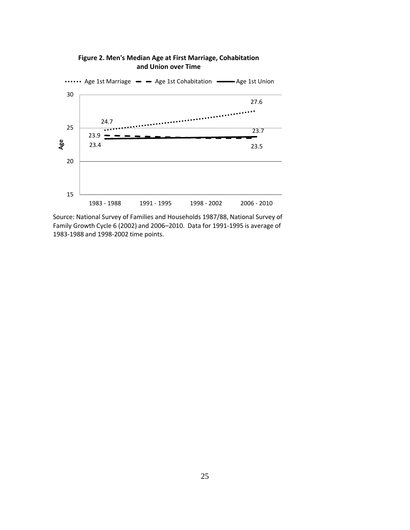

## **Figure 2. Men's Median Age at First Marriage, Cohabitation and Union over Time**

Source: National Survey of Families and Households 1987/88, National Survey of Family Growth Cycle 6 (2002) and 2006–2010. Data for 1991-1995 is average of 1983-1988 and 1998-2002 time points.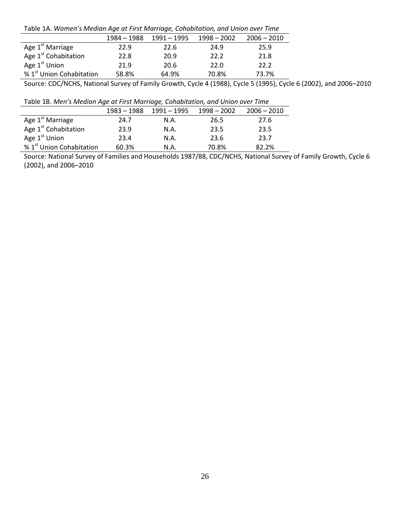Table 1A. *Women's Median Age at First Marriage, Cohabitation, and Union over Time*

|                                      | 1984 - 1988 | 1991 – 1995 | $1998 - 2002$ | $2006 - 2010$ |
|--------------------------------------|-------------|-------------|---------------|---------------|
| Age 1 <sup>st</sup> Marriage         | 22.9        | 22.6        | 24.9          | 25.9          |
| Age 1 <sup>st</sup> Cohabitation     | 22.8        | 20.9        | 22.2          | 21.8          |
| Age 1 <sup>st</sup> Union            | 21.9        | 20.6        | 22.0          | 22.2          |
| % 1 <sup>st</sup> Union Cohabitation | 58.8%       | 64.9%       | 70.8%         | 73.7%         |

Source: CDC/NCHS, National Survey of Family Growth, Cycle 4 (1988), Cycle 5 (1995), Cycle 6 (2002), and 2006–2010

Table 1B. *Men's Median Age at First Marriage, Cohabitation, and Union over Time*

|                                      | $1983 - 1988$ | $1991 - 1995$ | $1998 - 2002$ | $2006 - 2010$ |
|--------------------------------------|---------------|---------------|---------------|---------------|
| Age 1 <sup>st</sup> Marriage         | 24.7          | N.A.          | 26.5          | 27.6          |
| Age 1 <sup>st</sup> Cohabitation     | 23.9          | N.A.          | 23.5          | 23.5          |
| Age 1 <sup>st</sup> Union            | 23.4          | N.A.          | 23.6          | 23.7          |
| % 1 <sup>st</sup> Union Cohabitation | 60.3%         | N.A.          | 70.8%         | 82.2%         |

Source: National Survey of Families and Households 1987/88, CDC/NCHS, National Survey of Family Growth, Cycle 6 (2002), and 2006–2010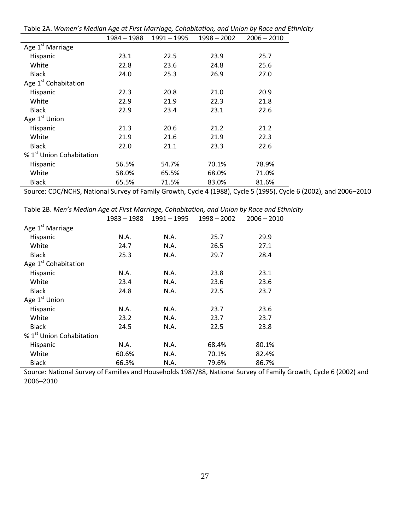|                                      | 1984 – 1988 | $1991 - 1995$ | $1998 - 2002$ | $2006 - 2010$ |
|--------------------------------------|-------------|---------------|---------------|---------------|
| Age 1 <sup>st</sup> Marriage         |             |               |               |               |
| Hispanic                             | 23.1        | 22.5          | 23.9          | 25.7          |
| White                                | 22.8        | 23.6          | 24.8          | 25.6          |
| <b>Black</b>                         | 24.0        | 25.3          | 26.9          | 27.0          |
| Age 1 <sup>st</sup> Cohabitation     |             |               |               |               |
| Hispanic                             | 22.3        | 20.8          | 21.0          | 20.9          |
| White                                | 22.9        | 21.9          | 22.3          | 21.8          |
| <b>Black</b>                         | 22.9        | 23.4          | 23.1          | 22.6          |
| Age 1 <sup>st</sup> Union            |             |               |               |               |
| Hispanic                             | 21.3        | 20.6          | 21.2          | 21.2          |
| White                                | 21.9        | 21.6          | 21.9          | 22.3          |
| <b>Black</b>                         | 22.0        | 21.1          | 23.3          | 22.6          |
| % 1 <sup>st</sup> Union Cohabitation |             |               |               |               |
| Hispanic                             | 56.5%       | 54.7%         | 70.1%         | 78.9%         |
| White                                | 58.0%       | 65.5%         | 68.0%         | 71.0%         |
| <b>Black</b>                         | 65.5%       | 71.5%         | 83.0%         | 81.6%         |

Table 2A. *Women's Median Age at First Marriage, Cohabitation, and Union by Race and Ethnicity*

Source: CDC/NCHS, National Survey of Family Growth, Cycle 4 (1988), Cycle 5 (1995), Cycle 6 (2002), and 2006–2010

|                                      | 1983 – 1988 | 1991 - 1995 | $1998 - 2002$ | $2006 - 2010$ |
|--------------------------------------|-------------|-------------|---------------|---------------|
| Age 1 <sup>st</sup> Marriage         |             |             |               |               |
| Hispanic                             | N.A.        | N.A.        | 25.7          | 29.9          |
| White                                | 24.7        | N.A.        | 26.5          | 27.1          |
| <b>Black</b>                         | 25.3        | N.A.        | 29.7          | 28.4          |
| Age 1 <sup>st</sup> Cohabitation     |             |             |               |               |
| Hispanic                             | N.A.        | N.A.        | 23.8          | 23.1          |
| White                                | 23.4        | N.A.        | 23.6          | 23.6          |
| <b>Black</b>                         | 24.8        | N.A.        | 22.5          | 23.7          |
| Age 1 <sup>st</sup> Union            |             |             |               |               |
| Hispanic                             | N.A.        | N.A.        | 23.7          | 23.6          |
| White                                | 23.2        | N.A.        | 23.7          | 23.7          |
| <b>Black</b>                         | 24.5        | N.A.        | 22.5          | 23.8          |
| % 1 <sup>st</sup> Union Cohabitation |             |             |               |               |
| Hispanic                             | N.A.        | N.A.        | 68.4%         | 80.1%         |
| White                                | 60.6%       | N.A.        | 70.1%         | 82.4%         |
| <b>Black</b>                         | 66.3%       | N.A.        | 79.6%         | 86.7%         |

Source: National Survey of Families and Households 1987/88, National Survey of Family Growth, Cycle 6 (2002) and 2006–2010